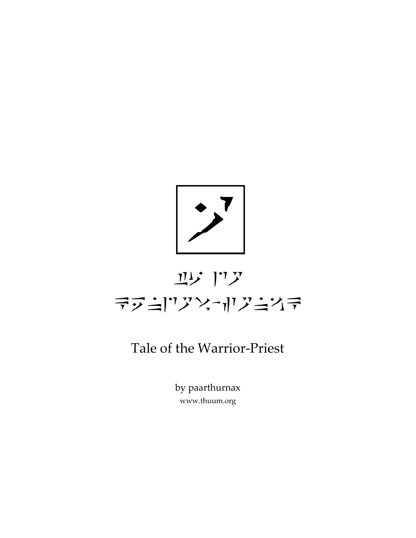

Tale of the Warrior-Priest

by paarthurnax www.thuum.org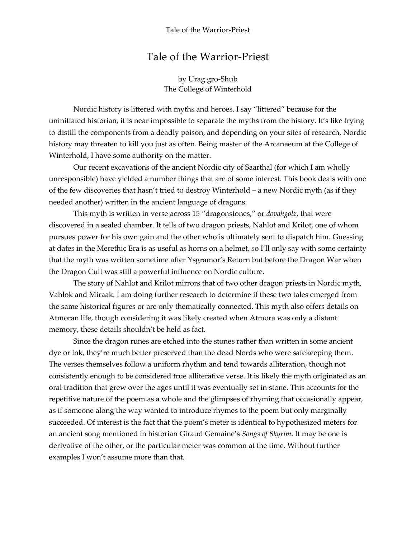# Tale of the Warrior-Priest

by Urag gro-Shub The College of Winterhold

Nordic history is littered with myths and heroes. I say "littered" because for the uninitiated historian, it is near impossible to separate the myths from the history. It's like trying to distill the components from a deadly poison, and depending on your sites of research, Nordic history may threaten to kill you just as often. Being master of the Arcanaeum at the College of Winterhold, I have some authority on the matter.

Our recent excavations of the ancient Nordic city of Saarthal (for which I am wholly unresponsible) have yielded a number things that are of some interest. This book deals with one of the few discoveries that hasn't tried to destroy Winterhold – a new Nordic myth (as if they needed another) written in the ancient language of dragons.

This myth is written in verse across 15 "dragonstones," or *dovahgolz*, that were discovered in a sealed chamber. It tells of two dragon priests, Nahlot and Krilot, one of whom pursues power for his own gain and the other who is ultimately sent to dispatch him. Guessing at dates in the Merethic Era is as useful as horns on a helmet, so I'll only say with some certainty that the myth was written sometime after Ysgramor's Return but before the Dragon War when the Dragon Cult was still a powerful influence on Nordic culture.

The story of Nahlot and Krilot mirrors that of two other dragon priests in Nordic myth, Vahlok and Miraak. I am doing further research to determine if these two tales emerged from the same historical figures or are only thematically connected. This myth also offers details on Atmoran life, though considering it was likely created when Atmora was only a distant memory, these details shouldn't be held as fact.

Since the dragon runes are etched into the stones rather than written in some ancient dye or ink, they're much better preserved than the dead Nords who were safekeeping them. The verses themselves follow a uniform rhythm and tend towards alliteration, though not consistently enough to be considered true alliterative verse. It is likely the myth originated as an oral tradition that grew over the ages until it was eventually set in stone. This accounts for the repetitive nature of the poem as a whole and the glimpses of rhyming that occasionally appear, as if someone along the way wanted to introduce rhymes to the poem but only marginally succeeded. Of interest is the fact that the poem's meter is identical to hypothesized meters for an ancient song mentioned in historian Giraud Gemaine's *Songs of Skyrim*. It may be one is derivative of the other, or the particular meter was common at the time. Without further examples I won't assume more than that.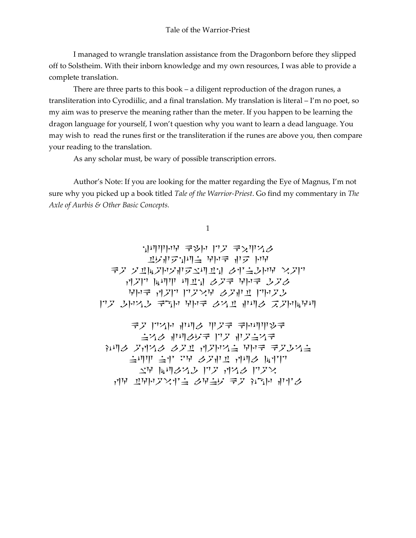I managed to wrangle translation assistance from the Dragonborn before they slipped off to Solstheim. With their inborn knowledge and my own resources, I was able to provide a complete translation.

There are three parts to this book – a diligent reproduction of the dragon runes, a transliteration into Cyrodiilic, and a final translation. My translation is literal – I'm no poet, so my aim was to preserve the meaning rather than the meter. If you happen to be learning the dragon language for yourself, I won't question why you want to learn a dead language. You may wish to read the runes first or the transliteration if the runes are above you, then compare your reading to the translation.

As any scholar must, be wary of possible transcription errors.

Author's Note: If you are looking for the matter regarding the Eye of Magnus, I'm not sure why you picked up a book titled *Tale of the Warrior-Priest*. Go find my commentary in *The Axle of Aurbis & Other Basic Concepts.*

$$
\mathcal{L} = \mathcal{L} = \mathcal{L} = \mathcal{L} = \mathcal{L} = \mathcal{L} = \mathcal{L} = \mathcal{L} = \mathcal{L} = \mathcal{L} = \mathcal{L} = \mathcal{L} = \mathcal{L} = \mathcal{L} = \mathcal{L} = \mathcal{L} = \mathcal{L} = \mathcal{L} = \mathcal{L} = \mathcal{L} = \mathcal{L} = \mathcal{L} = \mathcal{L} = \mathcal{L} = \mathcal{L} = \mathcal{L} = \mathcal{L} = \mathcal{L} = \mathcal{L} = \mathcal{L} = \mathcal{L} = \mathcal{L} = \mathcal{L} = \mathcal{L} = \mathcal{L} = \mathcal{L} = \mathcal{L} = \mathcal{L} = \mathcal{L} = \mathcal{L} = \mathcal{L} = \mathcal{L} = \mathcal{L} = \mathcal{L} = \mathcal{L} = \mathcal{L} = \mathcal{L} = \mathcal{L} = \mathcal{L} = \mathcal{L} = \mathcal{L} = \mathcal{L} = \mathcal{L} = \mathcal{L} = \mathcal{L} = \mathcal{L} = \mathcal{L} = \mathcal{L} = \mathcal{L} = \mathcal{L} = \mathcal{L} = \mathcal{L} = \mathcal{L} = \mathcal{L} = \mathcal{L} = \mathcal{L} = \mathcal{L} = \mathcal{L} = \mathcal{L} = \mathcal{L} = \mathcal{L} = \mathcal{L} = \mathcal{L} = \mathcal{L} = \mathcal{L} = \mathcal{L} = \mathcal{L} = \mathcal{L} = \mathcal{L} = \mathcal{L} = \mathcal{L} = \mathcal{L} = \mathcal{L} = \mathcal{L} = \mathcal{L} = \mathcal{L} = \mathcal{L} = \mathcal{L} = \mathcal{L} = \mathcal{L} = \mathcal{L} = \mathcal{L} = \mathcal{L} = \mathcal{L} = \mathcal{L} = \mathcal{L} = \mathcal{L} = \mathcal{L} = \mathcal{L} = \mathcal{L} = \mathcal{L} = \mathcal{L} = \mathcal{L} = \mathcal{L} = \mathcal{L} = \mathcal{L} = \mathcal{L} = \mathcal{L} = \mathcal{
$$

$$
\begin{array}{cccc}\n\overline{\nabla}\mathcal{F} &[\mathcal{V} \mathcal{N}] &[\mathcal{V} \mathcal{N}] &[\mathcal{V} \mathcal{N}] &[\mathcal{V} \mathcal{N}] &[\mathcal{V} \mathcal{N}] &[\mathcal{V} \mathcal{N}] &[\mathcal{V} \mathcal{N}] &[\mathcal{V} \mathcal{N}] &[\mathcal{N} \mathcal{N}] &[\mathcal{N} \mathcal{N}] &[\mathcal{N} \mathcal{N}] &[\mathcal{N} \mathcal{N}] &[\mathcal{N} \mathcal{N}] &[\mathcal{N} \mathcal{N}] &[\mathcal{N} \mathcal{N}] &[\mathcal{N} \mathcal{N}] &[\mathcal{N} \mathcal{N}] &[\mathcal{N} \mathcal{N}] &[\mathcal{N} \mathcal{N}] &[\mathcal{N} \mathcal{N}] &[\mathcal{N} \mathcal{N}] &[\mathcal{N} \mathcal{N}] &[\mathcal{N} \mathcal{N}] &[\mathcal{N} \mathcal{N}] &[\mathcal{N} \mathcal{N}] &[\mathcal{N} \mathcal{N}] &[\mathcal{N} \mathcal{N}] &[\mathcal{N} \mathcal{N}] &[\mathcal{N} \mathcal{N}] &[\mathcal{N} \mathcal{N}] &[\mathcal{N} \mathcal{N}] &[\mathcal{N} \mathcal{N}] &[\mathcal{N} \mathcal{N}] &[\mathcal{N} \mathcal{N}] &[\mathcal{N} \mathcal{N}] &[\mathcal{N} \mathcal{N}] &[\mathcal{N} \mathcal{N}] &[\mathcal{N} \mathcal{N}] &[\mathcal{N} \mathcal{N}] &[\mathcal{N} \mathcal{N}] &[\mathcal{N} \mathcal{N}] &[\mathcal{N} \mathcal{N}] &[\mathcal{N} \mathcal{N}] &[\mathcal{N} \mathcal{N}] &[\mathcal{N} \mathcal{N}] &[\mathcal{N} \mathcal{N}] &[\mathcal{N} \mathcal{N}] &[\mathcal{N} \mathcal{N}] &[\mathcal{N} \mathcal{N}] &
$$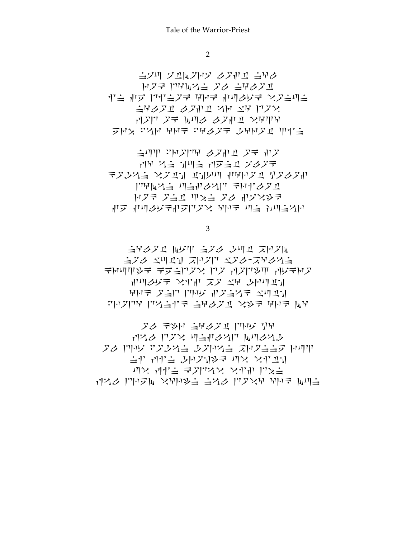**アク 쿠ジ**보 슬모クアユ ビレル ヹヹ 刊れる ドアン 切虫訳みるド 毎切みれみ ダク 凹ゆ ドダムスミ ムガセスミ スセダミミテ 回型世 슬푸 코푸를 가고가까? 그 그가 그리 피온 괴꾸를 쿠꺼끄스 온꾸고 巴통을 귀각층 ['꼬키피 못꼬모》를 즐각층 1'" 꼬꼬꼬 꼬모로 피끄를

言兄クヌユ 風ジリ ミヌク シリユ スヤヌ風 ニアク ベリエコ ストアド エアクースアクスニ デトルリリッテ テラニビダン ビス インピッサ ホンテトン ポリンジラ ショョー スヌ ベア シャリエナ 되고로 끄스럽기 만까지 고기로 소비끄러 꼬보기끄린 巴스트로도 들보스키고 오화로 모모로 교모

3

ミリリ コャズロア クヌヤユ ヌテ アヌ デザ れ言 定理言 アジュル ジンジテ ランシスミ マヌユコ ユコソリ ポリャフユ ソフクアル |'''デlム'イ-i 川-il'ノン|'' 〒トァリ'クジュ トジテ ジュユ 甲ンニ ジク ポジンシテ 교회 교회경쟁들교회교회사 회전을 교를 원교를 보면

ニンリ ソユルフトン クアポユ ニヤク トワマ ドワムコニ クク ニアクタエ 꾸슬 교회 부꾸들꾼로 꼬고로 교회경우로 온곳들끼슬 <u> 슬</u>포クアユ - クアポユ - 2NF - 2NF 17アン アジビ ジテ 瓦里み みジアユ ン軍甲屋 ジャン 끄기로 모르 끄고 가장 그리고 그 모르

 $\overline{2}$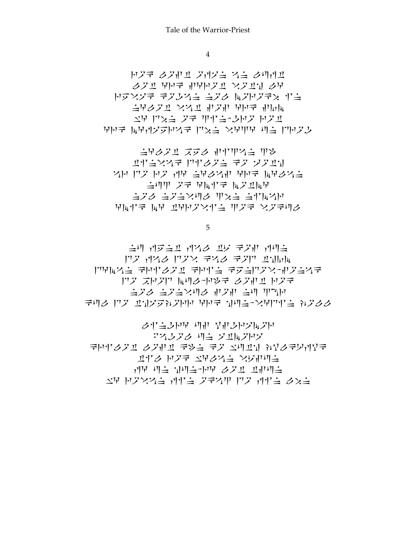**クリミントワ リポ 辛まみマンほプロ** 平ろ少ダク 切主 プロ属プログ 쿠모모 승규과 승규보고 코화를 크고 소비끄고 친구승코모리모크 끄꾸려 ヤグ로 꼬꼬려서는 못되면서는 괴포 피슬 되피슬하꼬 クヌ끄 끄판꼬슬 초모 ヤグンスコ 귀꾸는 クラス甲 부ク 귀꾸는 クメニ

슬씨 괴공슬고 귀각순 고통 코커피 관리슬 ドア ヹスク ドアン デスク テアド ぜまい ドリルスミ ラヤヤクヌエ ラヤヤミ ラテミビアン・ホアミステ ドジ プロジビ 瓦切みっ回歩量 みジ起卫 ヤジテ 즐거ራ 즐거슬목끼ራ 교거교 슬피 반드된 쿠피스 17포 끄러포포표꼬보보 모모쿠 코피슬~>>FFFP로 효포스스

5

*슬모증꾼과 공공증* 교모 받습 받莎 끄부글목격로 ['미'증꾼들 코폰 少끗끄고 거년 부끄 ヤヌ 관포 슬포ク소교 모모로 교포ク소를 シリリ ジテ アルヤラ ルジュルタ *들기소 즐기슬목비스 비* >즐 즐푸표거리 アルヤマ 瓦星 ガヤマンマイミ 甲クマ ンクマリン

ヤジテ クジポユ ジョソニ れニ クリョル シフユ 모모로 교모모기 수도 보다 보고 ヤテンジテ テクルスミ ミクク 瓦グワクテン 平言 슬포스꾼과 녹스코 고기가 모모로 고교교 △꼬 |">:≐ "쿠 !!'!'≒~♪고" 고"고 꼬모로 교모리스스터 지수는 어떻게 그 그만 보고 있다.

 $\overline{4}$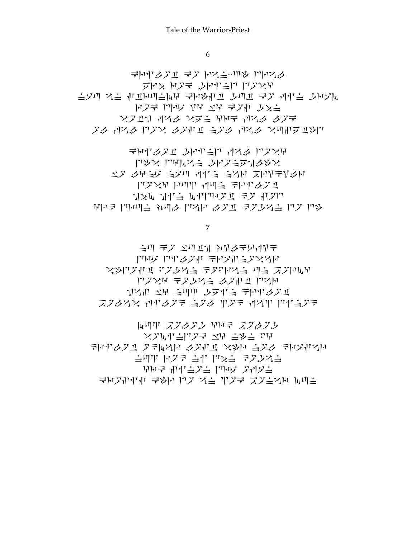||4.4]||リ スヌクヌン 모トロラ スヌクヌン >>>'W'실''">'로 소포 슬羽슬 ''보 쿠모모 クアユ クテレストロ ククポユ ンジャ ニアク テトワポスト 슬비비 ヤジ로 슬리 1">슬 로グライ슬 アトラ ポイニズミ ビトリン プロジミ 로보기보보고 로화된 부끄 수를 받기로 공기들에게 표비를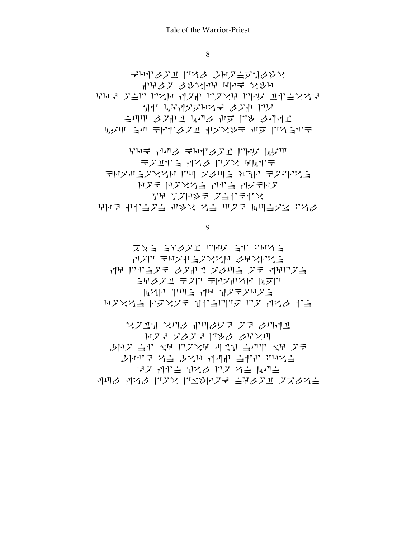ンプエコ ソリク 卍リクソラ グラ クリョユ トワラ ソクアラ ロック クリンサ 나보기 슬픈 소모 부끄러서 먹고도 슬프먼트 소모 기로 가먹'로 걸을 가게로 관계로 흘리고 끝먹습 쿠키 귀부를 되ろろ 부끄 ろ를 표박을 

공통을 즐면*증*꾼만 1만까지 즐린 끝만검을 괴기끄 코코거리슬끗목서프 스포목코크 괴포 부모들것로 경울교고 오경파를 꾼로 괴되므꾼들 言兄ろヌ丑 ラヌド ラヤンポスト ほずじ 瓦ろ屋 リロコミ ア屋 コンテプロジニ ヤアンスニ ヤテンジテ コヤニビリフ ドア アスク ヤニ

9

別回見 辺りる ラトリマクア ドトルブリ ラヌカリミ アスク ドヌン アルナテ 쿠코키미크꾼목식코 17세 꾼것끼로 친척코 쿠끗뛰어스 ヤジテ ヤジンスミ カザミ カジテヤジ 꼬꼬 꼬가!>>ㅋ 꼬느!'ㅋ!'> 꼬모코 교모들꾼들 교화를 조금 꼬꼬코 교프들군을 끌ろみ

〒トワヤ゙クグユ ドスク ジャジュティクジン 胆星クア クラントリ 모모로 ソカロ 한민국 기술은 '한민' 한국에 대한민국의 기관 고민들을 하다 コナ 瓦テアジテトステ クヌヤ ドワ 三川里 クヌ卍丑 瓦切ク 卍歹 尸沙 クリヨユ 瓦グ里 喜切 テトリマクヌユ アンマジテ アラコツィミアテ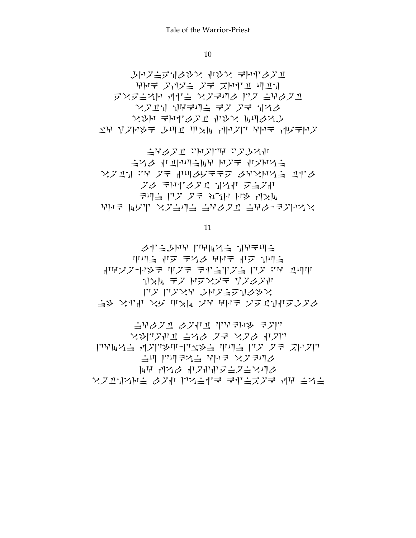*슬모스꾼프 승끗*卫고 반모쿠모≫ 쿠*키*모 ンジロア卍丑 ヨスク アテ ンタク 卍刀刀 ドリルスミ アプロシリードエジミ 甲リミ ドヌ ヌマ ストワロ 슬끼 ビリテンシ 모모로 ソフラリン ||47 アスク ポジポポテニジニン型ク 22기기기사는 クア世 巴马리로 코프들공꾼로 괴포 들었을

クリミントリ ドリルスミ ボラリニ 꼬꼬를 교회 보장수 꼬고로 교회 고프를 고모 기자 기자 그 그는 그리고 그 그는 그리고 있다. コン国 ラジ ヤジンシテ ヤジクジ世 ドク ドアン星 シャジニティンシン 言沙 ンキュロング 甲ン属 ブリ 星星マ ソテ せいせテンジン

11

主星クヌユ 四マ刃四マ マヌシオ胆 喜れる 旭괴교미술區교 ヤジ로 교ジャスミ ングエオ ワマ グラ ポリングママジ クリントワー エリン ジク テトリマクス 定位正 テニア世 쿠피스 17곳 꿋쿠 친희된 보호 관동교 꼬모로 교사!! '주거슬꼬'를 슬꼬즐거리 슬꼬즐거리기 것

シャアニテコクツン 卍ツン テトリンクユ 꼬보로 艺리키를 꾼로 공모부고 끄끄워. ランテニオト ィリビューンプラリン ドン ニアクタエ ングエナ ホワラリニ ラブ グラ ホスク ンジャ テトリンプユ 卍ジン 瓦リクスン 소모 포기교회를 그리고 민준회 괴모기가 모모를 괴로하다고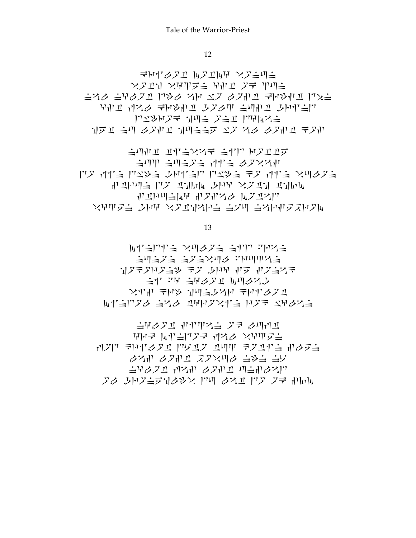$$
\mathbb{E}[\mathbb{E}[\mathbb{E}[\mathbb{E}[\mathbb{E}[\mathbb{E}[\mathbb{E}[\mathbb{E}[\mathbb{E}[\mathbb{E}[\mathbb{E}[\mathbb{E}[\mathbb{E}[\mathbb{E}[\mathbb{E}[\mathbb{E}[\mathbb{E}[\mathbb{E}[\mathbb{E}[\mathbb{E}[\mathbb{E}[\mathbb{E}[\mathbb{E}[\mathbb{E}[\mathbb{E}[\mathbb{E}[\mathbb{E}[\mathbb{E}[\mathbb{E}[\mathbb{E}[\mathbb{E}[\mathbb{E}[\mathbb{E}[\mathbb{E}[\mathbb{E}[\mathbb{E}[\mathbb{E}[\mathbb{E}[\mathbb{E}[\mathbb{E}[\mathbb{E}[\mathbb{E}[\mathbb{E}[\mathbb{E}[\mathbb{E}[\mathbb{E}[\mathbb{E}[\mathbb{E}[\mathbb{E}[\mathbb{E}[\mathbb{E}[\mathbb{E}[\mathbb{E}[\mathbb{E}[\mathbb{E}[\mathbb{E}[\mathbb{E}[\mathbb{E}[\mathbb{E}[\mathbb{E}[\mathbb{E}[\mathbb{E}[\mathbb{E}[\mathbb{E}[\mathbb{E}[\mathbb{E}[\mathbb{E}[\mathbb{E}[\mathbb{E}[\mathbb{E}[\mathbb{E}[\mathbb{E}[\mathbb{E}[\mathbb{E}[\mathbb{E}[\mathbb{E}[\mathbb{E}[\mathbb{E}[\mathbb{E}[\mathbb{E}[\mathbb{E}[\mathbb{E}[\mathbb{E}[\mathbb{E}[\mathbb{E}[\mathbb{E}[\mathbb{E}[\mathbb{E}[\mathbb{E}[\mathbb{E}[\mathbb{E}[\mathbb{E}[\mathbb{E}[\mathbb{E}[\mathbb{E}[\mathbb{E}[\mathbb{E}[\mathbb{E}[\mathbb{E}[\mathbb{E}[\mathbb{E}[\mathbb{E}[\mathbb{E}[\mathbb{E}[\mathbb{E}[\mathbb{E}[\mathbb{E}[\mathbb{E}[\mathbb{E}[\mathbb{E}[\mathbb{E}[\mathbb{E}[\mathbb{E}[\mathbb{E}[\mathbb{E}[\mathbb{E}[\mathbb{E}[\mathbb{E}[\mathbb{E}[\mathbb{E}[\mathbb{E}[\mathbb{E}[\mathbb{E}[\mathbb{E}[\mathbb{E}[\mathbb{E}[\mathbb{
$$

$$
|A'|^{2} = |A'|^{2} = |A'|^{2} = |A'|^{2} = |A'|^{2} = |A'|^{2} = |A'|^{2} = |A'|^{2} = |A'|^{2} = |A'|^{2} = |A'|^{2} = |A'|^{2} = |A'|^{2} = |A'|^{2} = |A'|^{2} = |A'|^{2} = |A'|^{2} = |A'|^{2} = |A'|^{2} = |A'|^{2} = |A'|^{2} = |A'|^{2} = |A'|^{2} = |A'|^{2} = |A'|^{2} = |A'|^{2} = |A'|^{2} = |A'|^{2} = |A'|^{2} = |A'|^{2} = |A'|^{2} = |A'|^{2} = |A'|^{2} = |A'|^{2} = |A'|^{2} = |A'|^{2} = |A'|^{2} = |A'|^{2} = |A'|^{2} = |A'|^{2} = |A'|^{2} = |A'|^{2} = |A'|^{2} = |A'|^{2} = |A'|^{2} = |A'|^{2} = |A'|^{2} = |A'|^{2} = |A'|^{2} = |A'|^{2} = |A'|^{2} = |A'|^{2} = |A'|^{2} = |A'|^{2} = |A'|^{2} = |A'|^{2} = |A'|^{2} = |A'|^{2} = |A'|^{2} = |A'|^{2} = |A'|^{2} = |A'|^{2} = |A'|^{2} = |A'|^{2} = |A'|^{2} = |A'|^{2} = |A'|^{2} = |A'|^{2} = |A'|^{2} = |A'|^{2} = |A'|^{2} = |A'|^{2} = |A'|^{2} = |A'|^{2} = |A'|^{2} = |A'|^{2} = |A'|^{2} = |A'|^{2} = |A'|^{2} = |A'|^{2} = |A'|^{2} = |A'|^{2} = |A'|^{2} = |A'|^{2} = |A'|^{2} = |A'|^{2} = |A'|^{2} = |A'|^{2} = |A'|^{2} = |A'|^{2} = |A'|^{2} = |A'|^{2} = |A'|^{2} = |A'|^{2} = |A'|^{2} = |A'|^{2} = |A'|^{2} = |A'|^{2} = |A'|^{2} = |A'|^{2} = |A'|^{2} = |A'|^{2} = |A'|^{2} = |A'|^{2} = |A'|^{2} = |A'|^{2} = |A'|^{2} = |A'|^{2} = |A'|
$$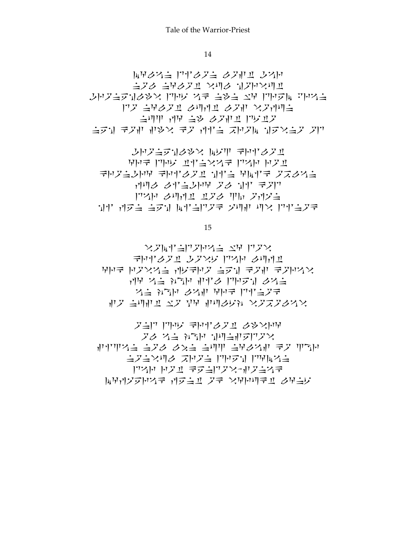アニド ドトリ ラトナンシュ クツントリ クグ スミ きうい ホリミルテロアン 교고민국들 슬끗증 증송을 슬픔만 슬푸즐스러고 로꾼 만할리 ミジミンリン ストジミ ドトラコ ドアルイミ ドント トヌエ テテニドヌン・アヌニンテ ||『トップアン・マック マン マジン エンジー マンディック

ング風化自己プロスコ ベアコンン デトリンクユ シアンジ ドスト クリョユ 제코코 ヤアンスム 귀가로먼가 스키게 코가민 코가모스가 괴포 그는 요리로 교보증 부모하고 준소를 ||21||コンプロ||アコン アプリ ランラ ポヌ 言切起 エ マヌ 平星 起切み戻れ ンタスタみスン

15

シャジニジュンジン 瓦グ里 テトゥリングユ 꼬모로 부꼬기 끄고 들었어도 보기도 모기고 テトアミントリ テトリンクス カリミ アルリテ アスクスミ ドストロ クリュロ エヌク 甲辰 アコンニ 키가 괴롭을 흘렸게 피꾸슬!?꼬코 꼬끼고 피字 1'??'슬꼬코

瓦포クスニ ドナマクジュ クアポユ シスト *主アク 三里クア*ユ ン切ク カプセン切刀 가모기 그것 아이가 나오 그는 그렇게 그런 아이가 있다. |"" 슬모스포프 스마리프 스포코 >< 포리미슬 <u>슬피빈 리포 슬</u>》 クアアユ ビリユア 들키고 코거리 교회를 크기 과민들 기민기파 고기울들기 기민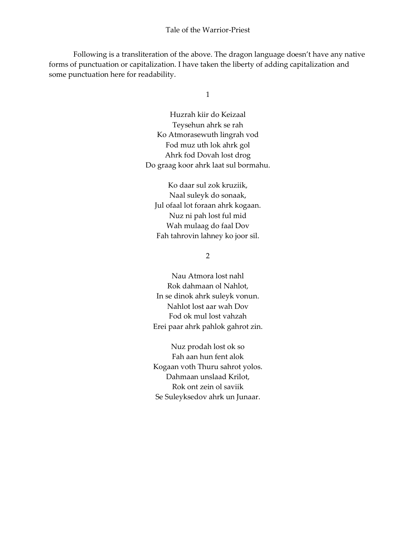## Tale of the Warrior-Priest

Following is a transliteration of the above. The dragon language doesn't have any native forms of punctuation or capitalization. I have taken the liberty of adding capitalization and some punctuation here for readability.

1

Huzrah kiir do Keizaal Teysehun ahrk se rah Ko Atmorasewuth lingrah vod Fod muz uth lok ahrk gol Ahrk fod Dovah lost drog Do graag koor ahrk laat sul bormahu.

Ko daar sul zok kruziik, Naal suleyk do sonaak, Jul ofaal lot foraan ahrk kogaan. Nuz ni pah lost ful mid Wah mulaag do faal Dov Fah tahrovin lahney ko joor sil.

2

Nau Atmora lost nahl Rok dahmaan ol Nahlot, In se dinok ahrk suleyk vonun. Nahlot lost aar wah Dov Fod ok mul lost vahzah Erei paar ahrk pahlok gahrot zin.

Nuz prodah lost ok so Fah aan hun fent alok Kogaan voth Thuru sahrot yolos. Dahmaan unslaad Krilot, Rok ont zein ol saviik Se Suleyksedov ahrk un Junaar.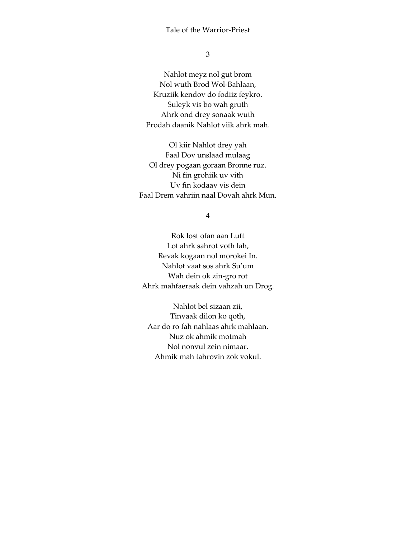Nahlot meyz nol gut brom Nol wuth Brod Wol-Bahlaan, Kruziik kendov do fodiiz feykro. Suleyk vis bo wah gruth Ahrk ond drey sonaak wuth Prodah daanik Nahlot viik ahrk mah.

Ol kiir Nahlot drey yah Faal Dov unslaad mulaag Ol drey pogaan goraan Bronne ruz. Ni fin grohiik uv vith Uv fin kodaav vis dein Faal Drem vahriin naal Dovah ahrk Mun.

4

Rok lost ofan aan Luft Lot ahrk sahrot voth lah, Revak kogaan nol morokei In. Nahlot vaat sos ahrk Su'um Wah dein ok zin-gro rot Ahrk mahfaeraak dein vahzah un Drog.

Nahlot bel sizaan zii, Tinvaak dilon ko qoth, Aar do ro fah nahlaas ahrk mahlaan. Nuz ok ahmik motmah Nol nonvul zein nimaar. Ahmik mah tahrovin zok vokul.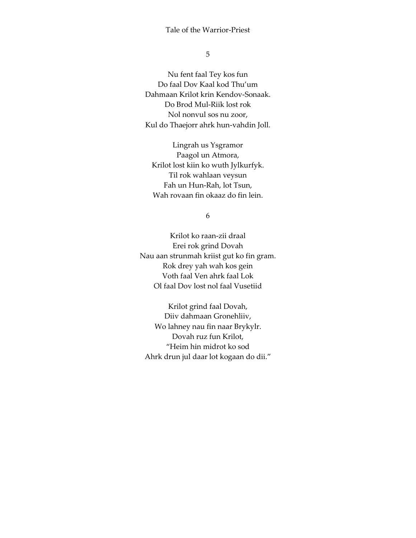Nu fent faal Tey kos fun Do faal Dov Kaal kod Thu'um Dahmaan Krilot krin Kendov-Sonaak. Do Brod Mul-Riik lost rok Nol nonvul sos nu zoor, Kul do Thaejorr ahrk hun-vahdin Joll.

Lingrah us Ysgramor Paagol un Atmora, Krilot lost kiin ko wuth Jylkurfyk. Til rok wahlaan veysun Fah un Hun-Rah, lot Tsun, Wah rovaan fin okaaz do fin lein.

6

Krilot ko raan-zii draal Erei rok grind Dovah Nau aan strunmah kriist gut ko fin gram. Rok drey yah wah kos gein Voth faal Ven ahrk faal Lok Ol faal Dov lost nol faal Vusetiid

Krilot grind faal Dovah, Diiv dahmaan Gronehliiv, Wo lahney nau fin naar Brykylr. Dovah ruz fun Krilot, "Heim hin midrot ko sod Ahrk drun jul daar lot kogaan do dii."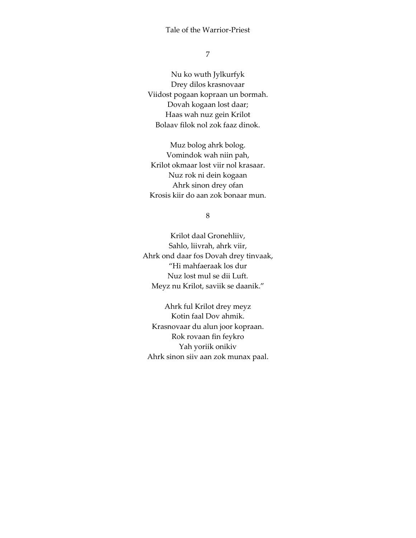Nu ko wuth Jylkurfyk Drey dilos krasnovaar Viidost pogaan kopraan un bormah. Dovah kogaan lost daar; Haas wah nuz gein Krilot Bolaav filok nol zok faaz dinok.

Muz bolog ahrk bolog. Vomindok wah niin pah, Krilot okmaar lost viir nol krasaar. Nuz rok ni dein kogaan Ahrk sinon drey ofan Krosis kiir do aan zok bonaar mun.

8

Krilot daal Gronehliiv, Sahlo, liivrah, ahrk viir, Ahrk ond daar fos Dovah drey tinvaak, "Hi mahfaeraak los dur Nuz lost mul se dii Luft. Meyz nu Krilot, saviik se daanik."

Ahrk ful Krilot drey meyz Kotin faal Dov ahmik. Krasnovaar du alun joor kopraan. Rok rovaan fin feykro Yah yoriik onikiv Ahrk sinon siiv aan zok munax paal.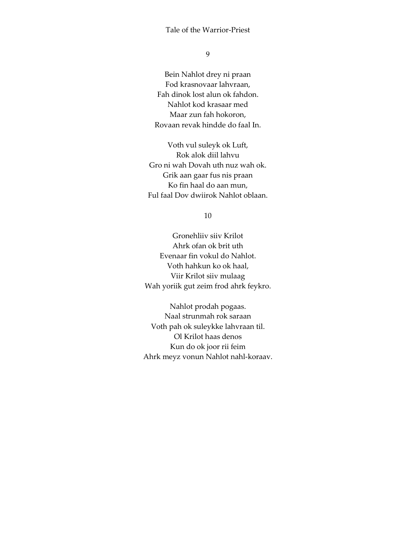Bein Nahlot drey ni praan Fod krasnovaar lahvraan, Fah dinok lost alun ok fahdon. Nahlot kod krasaar med Maar zun fah hokoron, Rovaan revak hindde do faal In.

Voth vul suleyk ok Luft, Rok alok diil lahvu Gro ni wah Dovah uth nuz wah ok. Grik aan gaar fus nis praan Ko fin haal do aan mun, Ful faal Dov dwiirok Nahlot oblaan.

#### 10

Gronehliiv siiv Krilot Ahrk ofan ok brit uth Evenaar fin vokul do Nahlot. Voth hahkun ko ok haal, Viir Krilot siiv mulaag Wah yoriik gut zeim frod ahrk feykro.

Nahlot prodah pogaas. Naal strunmah rok saraan Voth pah ok suleykke lahvraan til. Ol Krilot haas denos Kun do ok joor rii feim Ahrk meyz vonun Nahlot nahl-koraav.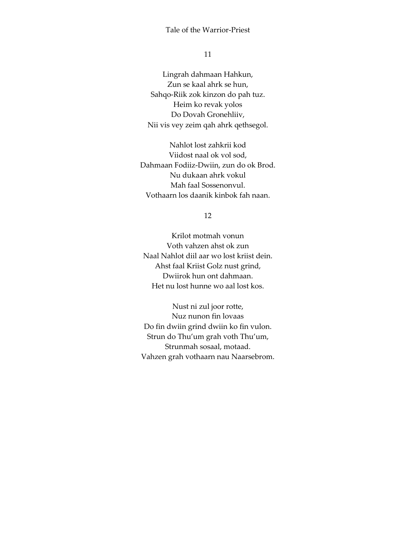Lingrah dahmaan Hahkun, Zun se kaal ahrk se hun, Sahqo-Riik zok kinzon do pah tuz. Heim ko revak yolos Do Dovah Gronehliiv, Nii vis vey zeim qah ahrk qethsegol.

Nahlot lost zahkrii kod Viidost naal ok vol sod, Dahmaan Fodiiz-Dwiin, zun do ok Brod. Nu dukaan ahrk vokul Mah faal Sossenonvul. Vothaarn los daanik kinbok fah naan.

### 12

Krilot motmah vonun Voth vahzen ahst ok zun Naal Nahlot diil aar wo lost kriist dein. Ahst faal Kriist Golz nust grind, Dwiirok hun ont dahmaan. Het nu lost hunne wo aal lost kos.

Nust ni zul joor rotte, Nuz nunon fin lovaas Do fin dwiin grind dwiin ko fin vulon. Strun do Thu'um grah voth Thu'um, Strunmah sosaal, motaad. Vahzen grah vothaarn nau Naarsebrom.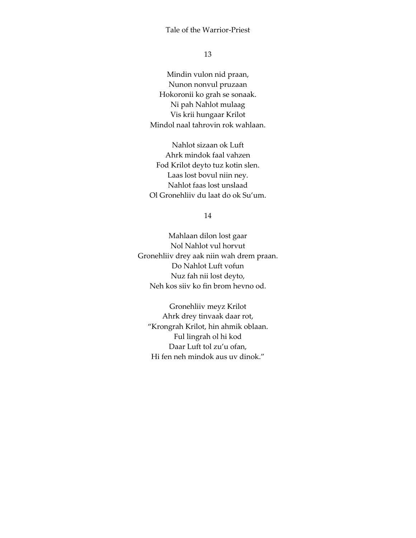Mindin vulon nid praan, Nunon nonvul pruzaan Hokoronii ko grah se sonaak. Ni pah Nahlot mulaag Vis krii hungaar Krilot Mindol naal tahrovin rok wahlaan.

Nahlot sizaan ok Luft Ahrk mindok faal vahzen Fod Krilot deyto tuz kotin slen. Laas lost bovul niin ney. Nahlot faas lost unslaad Ol Gronehliiv du laat do ok Su'um.

### 14

Mahlaan dilon lost gaar Nol Nahlot vul horvut Gronehliiv drey aak niin wah drem praan. Do Nahlot Luft vofun Nuz fah nii lost deyto, Neh kos siiv ko fin brom hevno od.

Gronehliiv meyz Krilot Ahrk drey tinvaak daar rot, "Krongrah Krilot, hin ahmik oblaan. Ful lingrah ol hi kod Daar Luft tol zu'u ofan, Hi fen neh mindok aus uv dinok."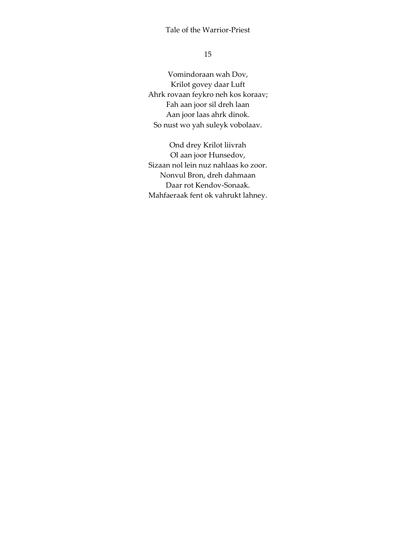Vomindoraan wah Dov, Krilot govey daar Luft Ahrk rovaan feykro neh kos koraav; Fah aan joor sil dreh laan Aan joor laas ahrk dinok. So nust wo yah suleyk vobolaav.

Ond drey Krilot liivrah Ol aan joor Hunsedov, Sizaan nol lein nuz nahlaas ko zoor. Nonvul Bron, dreh dahmaan Daar rot Kendov-Sonaak. Mahfaeraak fent ok vahrukt lahney.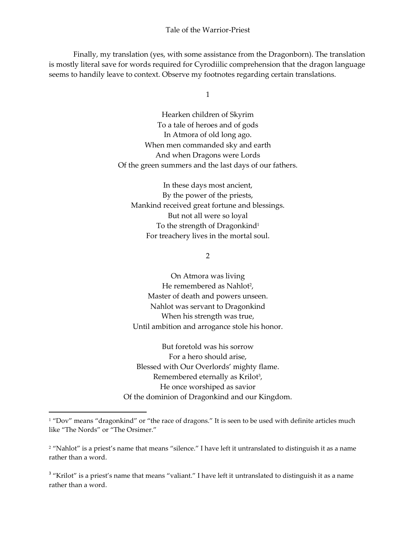## Tale of the Warrior-Priest

Finally, my translation (yes, with some assistance from the Dragonborn). The translation is mostly literal save for words required for Cyrodiilic comprehension that the dragon language seems to handily leave to context. Observe my footnotes regarding certain translations.

1

Hearken children of Skyrim To a tale of heroes and of gods In Atmora of old long ago. When men commanded sky and earth And when Dragons were Lords Of the green summers and the last days of our fathers.

In these days most ancient, By the power of the priests, Mankind received great fortune and blessings. But not all were so loyal To the strength of Dragonkind<sup>1</sup> For treachery lives in the mortal soul.

2

On Atmora was living He remembered as Nahlot<sup>2</sup>, Master of death and powers unseen. Nahlot was servant to Dragonkind When his strength was true, Until ambition and arrogance stole his honor.

But foretold was his sorrow For a hero should arise, Blessed with Our Overlords' mighty flame. Remembered eternally as Krilot<sup>3</sup>, He once worshiped as savior Of the dominion of Dragonkind and our Kingdom.

<sup>&</sup>lt;sup>1</sup> "Dov" means "dragonkind" or "the race of dragons." It is seen to be used with definite articles much like "The Nords" or "The Orsimer."

<sup>&</sup>lt;sup>2</sup> "Nahlot" is a priest's name that means "silence." I have left it untranslated to distinguish it as a name rather than a word.

 $3$  "Krilot" is a priest's name that means "valiant." I have left it untranslated to distinguish it as a name rather than a word.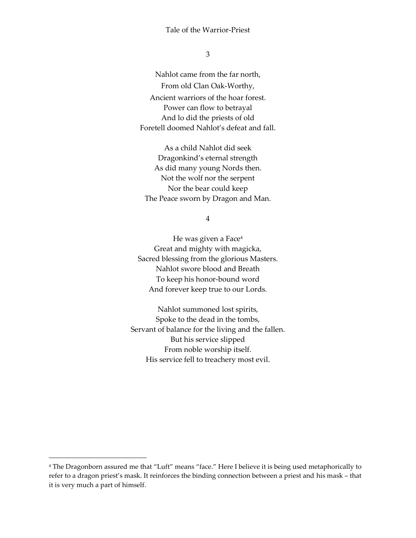Nahlot came from the far north, From old Clan Oak-Worthy, Ancient warriors of the hoar forest. Power can flow to betrayal And lo did the priests of old Foretell doomed Nahlot's defeat and fall.

As a child Nahlot did seek Dragonkind's eternal strength As did many young Nords then. Not the wolf nor the serpent Nor the bear could keep The Peace sworn by Dragon and Man.

4

He was given a Face<sup>4</sup> Great and mighty with magicka, Sacred blessing from the glorious Masters. Nahlot swore blood and Breath To keep his honor-bound word And forever keep true to our Lords.

Nahlot summoned lost spirits, Spoke to the dead in the tombs, Servant of balance for the living and the fallen. But his service slipped From noble worship itself. His service fell to treachery most evil.

<sup>4</sup> The Dragonborn assured me that "Luft" means "face." Here I believe it is being used metaphorically to refer to a dragon priest's mask. It reinforces the binding connection between a priest and his mask – that it is very much a part of himself.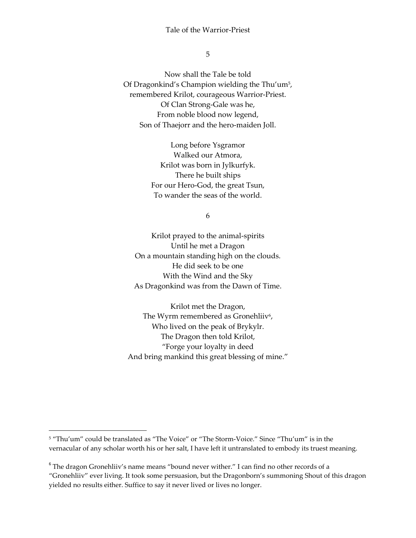Now shall the Tale be told Of Dragonkind's Champion wielding the Thu'um<sup>5</sup>, remembered Krilot, courageous Warrior-Priest. Of Clan Strong-Gale was he, From noble blood now legend, Son of Thaejorr and the hero-maiden Joll.

> Long before Ysgramor Walked our Atmora, Krilot was born in Jylkurfyk. There he built ships For our Hero-God, the great Tsun, To wander the seas of the world.

> > 6

Krilot prayed to the animal-spirits Until he met a Dragon On a mountain standing high on the clouds. He did seek to be one With the Wind and the Sky As Dragonkind was from the Dawn of Time.

Krilot met the Dragon, The Wyrm remembered as Gronehliiv $\phi$ , Who lived on the peak of Brykylr. The Dragon then told Krilot, "Forge your loyalty in deed And bring mankind this great blessing of mine."

<sup>5</sup> "Thu'um" could be translated as "The Voice" or "The Storm-Voice." Since "Thu'um" is in the vernacular of any scholar worth his or her salt, I have left it untranslated to embody its truest meaning.

 $^6$  The dragon Gronehliiv's name means "bound never wither." I can find no other records of a "Gronehliiv" ever living. It took some persuasion, but the Dragonborn's summoning Shout of this dragon yielded no results either. Suffice to say it never lived or lives no longer.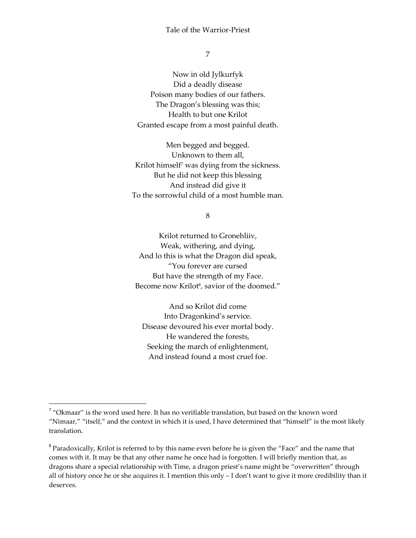Now in old Jylkurfyk Did a deadly disease Poison many bodies of our fathers. The Dragon's blessing was this; Health to but one Krilot Granted escape from a most painful death.

Men begged and begged. Unknown to them all, Krilot himself<sup>7</sup> was dying from the sickness. But he did not keep this blessing And instead did give it To the sorrowful child of a most humble man.

8

Krilot returned to Gronehliiv, Weak, withering, and dying, And lo this is what the Dragon did speak, "You forever are cursed But have the strength of my Face. Become now Krilot<sup>s</sup>, savior of the doomed."

And so Krilot did come Into Dragonkind's service. Disease devoured his ever mortal body. He wandered the forests, Seeking the march of enlightenment, And instead found a most cruel foe.

 $7$  "Okmaar" is the word used here. It has no verifiable translation, but based on the known word "Nimaar," "itself," and the context in which it is used, I have determined that "himself" is the most likely translation.

 $^8$  Paradoxically, Krilot is referred to by this name even before he is given the "Face" and the name that comes with it. It may be that any other name he once had is forgotten. I will briefly mention that, as dragons share a special relationship with Time, a dragon priest's name might be "overwritten" through all of history once he or she acquires it. I mention this only – I don't want to give it more credibility than it deserves.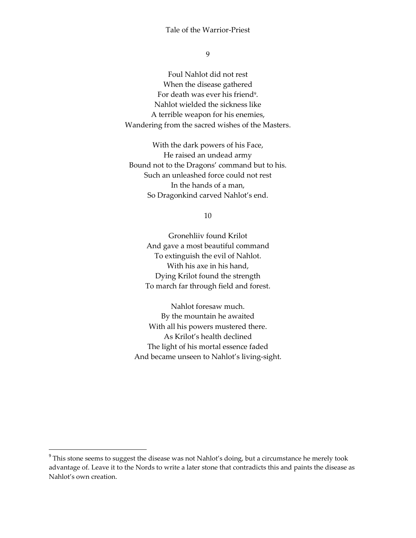Foul Nahlot did not rest When the disease gathered For death was ever his friend<sup>9</sup>. Nahlot wielded the sickness like A terrible weapon for his enemies, Wandering from the sacred wishes of the Masters.

With the dark powers of his Face, He raised an undead army Bound not to the Dragons' command but to his. Such an unleashed force could not rest In the hands of a man, So Dragonkind carved Nahlot's end.

10

Gronehliiv found Krilot And gave a most beautiful command To extinguish the evil of Nahlot. With his axe in his hand, Dying Krilot found the strength To march far through field and forest.

Nahlot foresaw much. By the mountain he awaited With all his powers mustered there. As Krilot's health declined The light of his mortal essence faded And became unseen to Nahlot's living-sight.

 $9$  This stone seems to suggest the disease was not Nahlot's doing, but a circumstance he merely took advantage of. Leave it to the Nords to write a later stone that contradicts this and paints the disease as Nahlot's own creation.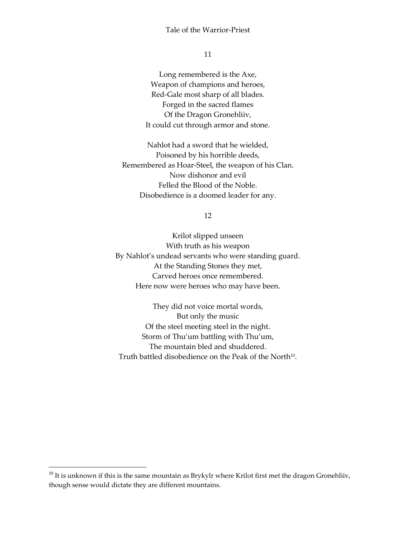Long remembered is the Axe, Weapon of champions and heroes, Red-Gale most sharp of all blades. Forged in the sacred flames Of the Dragon Gronehliiv, It could cut through armor and stone.

Nahlot had a sword that he wielded, Poisoned by his horrible deeds, Remembered as Hoar-Steel, the weapon of his Clan. Now dishonor and evil Felled the Blood of the Noble. Disobedience is a doomed leader for any.

#### 12

Krilot slipped unseen With truth as his weapon By Nahlot's undead servants who were standing guard. At the Standing Stones they met, Carved heroes once remembered. Here now were heroes who may have been.

They did not voice mortal words, But only the music Of the steel meeting steel in the night. Storm of Thu'um battling with Thu'um, The mountain bled and shuddered. Truth battled disobedience on the Peak of the  $\mathrm{North^{10}.}$ 

l

 $10$  It is unknown if this is the same mountain as Brykylr where Krilot first met the dragon Gronehliiv, though sense would dictate they are different mountains.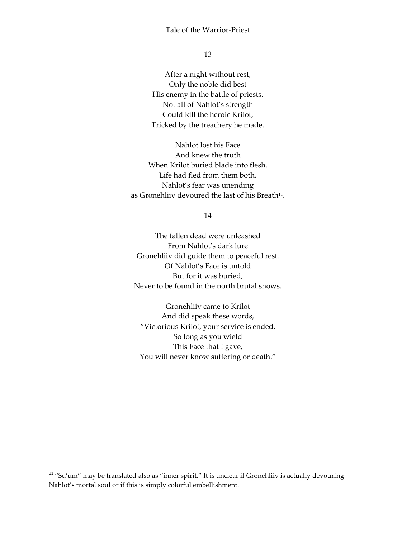After a night without rest, Only the noble did best His enemy in the battle of priests. Not all of Nahlot's strength Could kill the heroic Krilot, Tricked by the treachery he made.

Nahlot lost his Face And knew the truth When Krilot buried blade into flesh. Life had fled from them both. Nahlot's fear was unending as Gronehliiv devoured the last of his Breath $^{11}$ .

#### 14

The fallen dead were unleashed From Nahlot's dark lure Gronehliiv did guide them to peaceful rest. Of Nahlot's Face is untold But for it was buried, Never to be found in the north brutal snows.

Gronehliiv came to Krilot And did speak these words, "Victorious Krilot, your service is ended. So long as you wield This Face that I gave, You will never know suffering or death."

l

 $11$  "Su'um" may be translated also as "inner spirit." It is unclear if Gronehliiv is actually devouring Nahlot's mortal soul or if this is simply colorful embellishment.